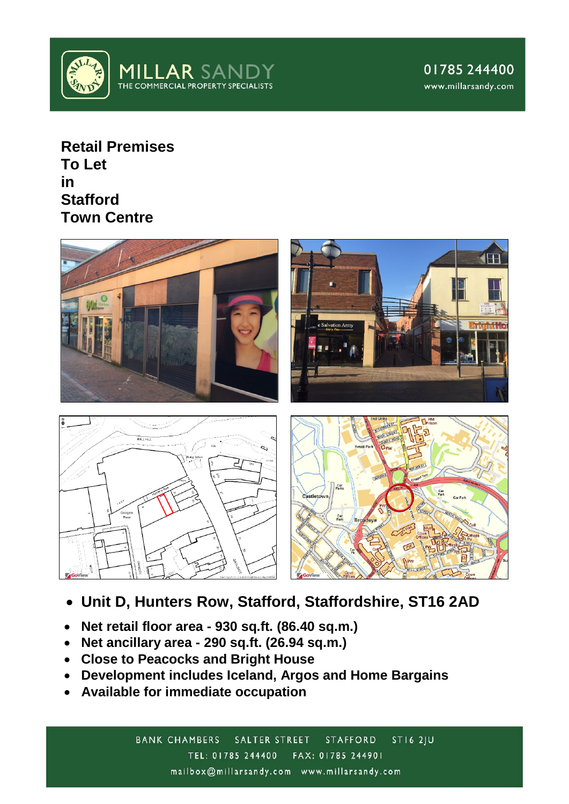

**Retail Premises To Let in Stafford Town Centre**



- **Unit D, Hunters Row, Stafford, Staffordshire, ST16 2AD**
- **Net retail floor area - 930 sq.ft. (86.40 sq.m.)**
- **Net ancillary area - 290 sq.ft. (26.94 sq.m.)**
- **Close to Peacocks and Bright House**
- **Development includes Iceland, Argos and Home Bargains**
- **Available for immediate occupation**

 $STI62JU$ **BANK CHAMBERS** SALTER STREET **STAFFORD** TEL: 01785 244400 FAX: 01785 244901 mailbox@millarsandy.com www.millarsandy.com